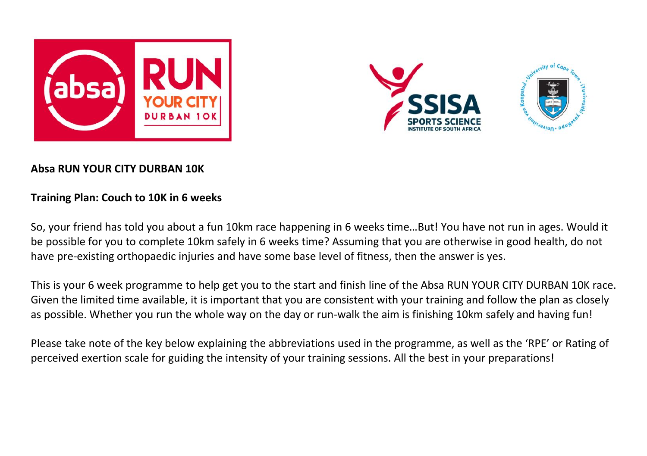



## **Absa RUN YOUR CITY DURBAN 10K**

## **Training Plan: Couch to 10K in 6 weeks**

So, your friend has told you about a fun 10km race happening in 6 weeks time…But! You have not run in ages. Would it be possible for you to complete 10km safely in 6 weeks time? Assuming that you are otherwise in good health, do not have pre-existing orthopaedic injuries and have some base level of fitness, then the answer is yes.

This is your 6 week programme to help get you to the start and finish line of the Absa RUN YOUR CITY DURBAN 10K race. Given the limited time available, it is important that you are consistent with your training and follow the plan as closely as possible. Whether you run the whole way on the day or run-walk the aim is finishing 10km safely and having fun!

Please take note of the key below explaining the abbreviations used in the programme, as well as the 'RPE' or Rating of perceived exertion scale for guiding the intensity of your training sessions. All the best in your preparations!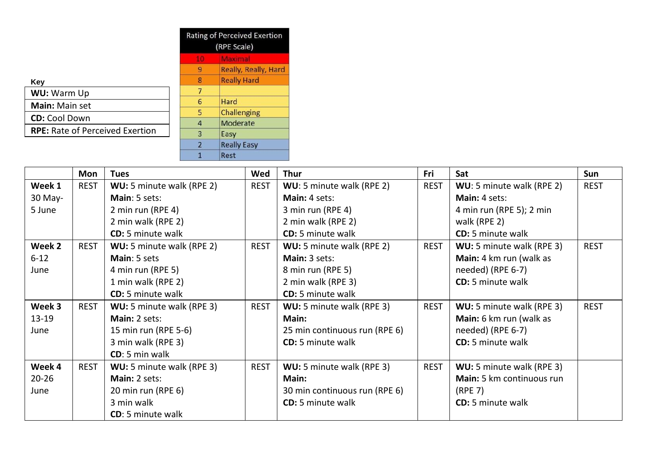|                                        |                | <b>Rating of Perceived Exertion</b><br>(RPE Scale) |  |  |
|----------------------------------------|----------------|----------------------------------------------------|--|--|
|                                        | 10             | Maximal                                            |  |  |
|                                        | 9              | Really, Really, Hard                               |  |  |
| Key                                    | 8              | <b>Really Hard</b>                                 |  |  |
| WU: Warm Up                            | 7              |                                                    |  |  |
| <b>Main:</b> Main set                  | 6              | Hard                                               |  |  |
| <b>CD:</b> Cool Down                   | 5              | Challenging                                        |  |  |
|                                        | $\overline{4}$ | Moderate                                           |  |  |
| <b>RPE:</b> Rate of Perceived Exertion | 3              | Easy                                               |  |  |
|                                        | $\overline{2}$ | <b>Really Easy</b>                                 |  |  |
|                                        |                | Rest                                               |  |  |

|           | Mon         | Tues                      | Wed         | Thur                          | Fri         | Sat                       | Sun         |
|-----------|-------------|---------------------------|-------------|-------------------------------|-------------|---------------------------|-------------|
| Week 1    | REST        | WU: 5 minute walk (RPE 2) | <b>REST</b> | WU: 5 minute walk (RPE 2)     | REST        | WU: 5 minute walk (RPE 2) | REST        |
| 30 May-   |             | Main: 5 sets:             |             | Main: 4 sets:                 |             | Main: 4 sets:             |             |
| 5 June    |             | 2 min run (RPE 4)         |             | 3 min run (RPE 4)             |             | 4 min run (RPE 5); 2 min  |             |
|           |             | 2 min walk (RPE 2)        |             | 2 min walk (RPE 2)            |             | walk (RPE 2)              |             |
|           |             | <b>CD:</b> 5 minute walk  |             | <b>CD:</b> 5 minute walk      |             | <b>CD:</b> 5 minute walk  |             |
| Week 2    | <b>REST</b> | WU: 5 minute walk (RPE 2) | <b>REST</b> | WU: 5 minute walk (RPE 2)     | <b>REST</b> | WU: 5 minute walk (RPE 3) | <b>REST</b> |
| $6 - 12$  |             | Main: 5 sets              |             | Main: 3 sets:                 |             | Main: 4 km run (walk as   |             |
| June      |             | 4 min run (RPE 5)         |             | 8 min run (RPE 5)             |             | needed) (RPE 6-7)         |             |
|           |             | 1 min walk (RPE 2)        |             | 2 min walk (RPE 3)            |             | <b>CD:</b> 5 minute walk  |             |
|           |             | <b>CD:</b> 5 minute walk  |             | <b>CD:</b> 5 minute walk      |             |                           |             |
| Week 3    | <b>REST</b> | WU: 5 minute walk (RPE 3) | <b>REST</b> | WU: 5 minute walk (RPE 3)     | <b>REST</b> | WU: 5 minute walk (RPE 3) | <b>REST</b> |
| $13-19$   |             | Main: 2 sets:             |             | Main:                         |             | Main: 6 km run (walk as   |             |
| June      |             | 15 min run (RPE 5-6)      |             | 25 min continuous run (RPE 6) |             | needed) (RPE 6-7)         |             |
|           |             | 3 min walk (RPE 3)        |             | CD: 5 minute walk             |             | <b>CD:</b> 5 minute walk  |             |
|           |             | CD: 5 min walk            |             |                               |             |                           |             |
| Week 4    | <b>REST</b> | WU: 5 minute walk (RPE 3) | <b>REST</b> | WU: 5 minute walk (RPE 3)     | <b>REST</b> | WU: 5 minute walk (RPE 3) |             |
| $20 - 26$ |             | Main: 2 sets:             |             | Main:                         |             | Main: 5 km continuous run |             |
| June      |             | 20 min run (RPE 6)        |             | 30 min continuous run (RPE 6) |             | (RPE 7)                   |             |
|           |             | 3 min walk                |             | <b>CD:</b> 5 minute walk      |             | <b>CD:</b> 5 minute walk  |             |
|           |             | CD: 5 minute walk         |             |                               |             |                           |             |